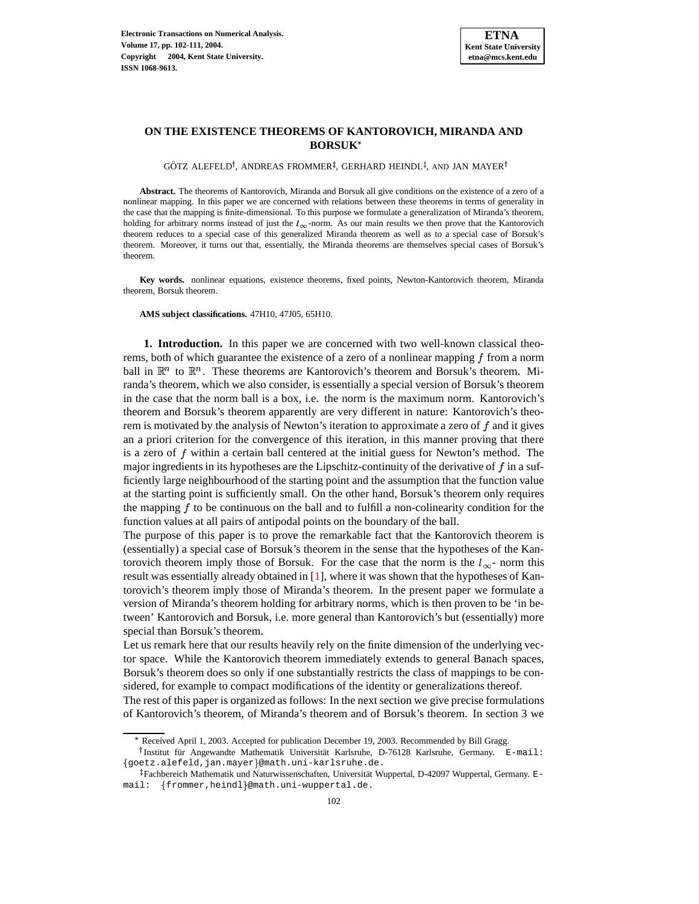

## **ON THE EXISTENCE THEOREMS OF KANTOROVICH, MIRANDA AND BORSUK**

GÖTZ ALEFELD<sup>†</sup>, ANDREAS FROMMER<sup>‡</sup>, GERHARD HEINDL<sup>‡</sup>, AND JAN MAYER<sup>†</sup>

**Abstract.** The theorems of Kantorovich, Miranda and Borsuk all give conditions on the existence of a zero of a nonlinear mapping. In this paper we are concerned with relations between these theorems in terms of generality in the case that the mapping is finite-dimensional. To this purpose we formulate a generalization of Miranda's theorem, holding for arbitrary norms instead of just the  $l_{\infty}$ -norm. As our main results we then prove that the Kantorovich theorem reduces to a special case of this generalized Miranda theorem as well as to a special case of Borsuk's theorem. Moreover, it turns out that, essentially, the Miranda theorems are themselves special cases of Borsuk's theorem.

**Key words.** nonlinear equations, existence theorems, fixed points, Newton-Kantorovich theorem, Miranda theorem, Borsuk theorem.

## **AMS subject classifications.** 47H10, 47J05, 65H10.

**1. Introduction.** In this paper we are concerned with two well-known classical theorems, both of which guarantee the existence of a zero of a nonlinear mapping  $f$  from a norm ball in  $\mathbb{R}^n$  to  $\mathbb{R}^n$ . These theorems are Kantorovich's theorem and Borsuk's theorem. Miranda's theorem, which we also consider, is essentially a special version of Borsuk's theorem in the case that the norm ball is a box, i.e. the norm is the maximum norm. Kantorovich's theorem and Borsuk's theorem apparently are very different in nature: Kantorovich's theorem is motivated by the analysis of Newton's iteration to approximate a zero of  $f$  and it gives an a priori criterion for the convergence of this iteration, in this manner proving that there is a zero of  $f$  within a certain ball centered at the initial guess for Newton's method. The major ingredients in its hypotheses are the Lipschitz-continuity of the derivative of  $f$  in a sufficiently large neighbourhood of the starting point and the assumption that the function value at the starting point is sufficiently small. On the other hand, Borsuk's theorem only requires the mapping  $f$  to be continuous on the ball and to fulfill a non-colinearity condition for the function values at all pairs of antipodal points on the boundary of the ball.

The purpose of this paper is to prove the remarkable fact that the Kantorovich theorem is (essentially) a special case of Borsuk's theorem in the sense that the hypotheses of the Kantorovich theorem imply those of Borsuk. For the case that the norm is the  $l_{\infty}$ - norm this result was essentially already obtained in [\[1\]](#page-9-0), where it was shown that the hypotheses of Kantorovich's theorem imply those of Miranda's theorem. In the present paper we formulate a version of Miranda's theorem holding for arbitrary norms, which is then proven to be 'in between' Kantorovich and Borsuk, i.e. more general than Kantorovich's but (essentially) more special than Borsuk's theorem.

Let us remark here that our results heavily rely on the finite dimension of the underlying vector space. While the Kantorovich theorem immediately extends to general Banach spaces, Borsuk's theorem does so only if one substantially restricts the class of mappings to be considered, for example to compact modifications of the identity or generalizations thereof.

The rest of this paper is organized as follows: In the next section we give precise formulations of Kantorovich's theorem, of Miranda's theorem and of Borsuk's theorem. In section 3 we

<sup>\*</sup> Received April 1, 2003. Accepted for publication December 19, 2003. Recommended by Bill Gragg.

<sup>&</sup>lt;sup>†</sup> Institut für Angewandte Mathematik Universität Karlsruhe, D-76128 Karlsruhe, Germany. E-mail: goetz.alefeld,jan.mayer @math.uni-karlsruhe.de.

Fachbereich Mathematik und Naturwissenschaften, Universität Wuppertal, D-42097 Wuppertal, Germany. Email: frommer,heindl @math.uni-wuppertal.de.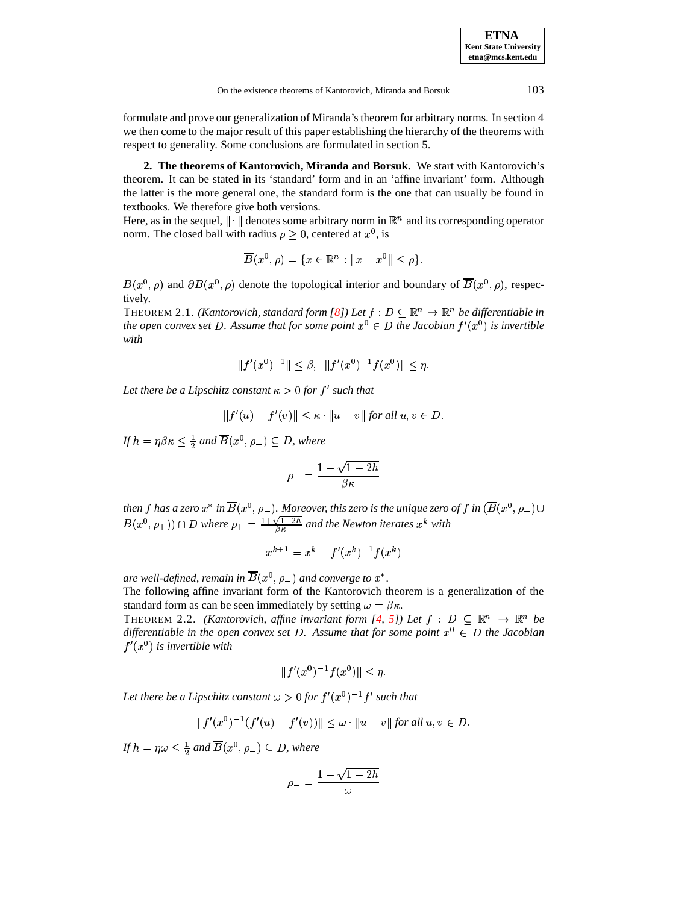**ETNA Kent State University etna@mcs.kent.edu**

formulate and prove our generalization of Miranda's theorem for arbitrary norms. In section 4 we then come to the major result of this paper establishing the hierarchy of the theorems with respect to generality. Some conclusions are formulated in section 5.

**2. The theorems of Kantorovich, Miranda and Borsuk.** We start with Kantorovich's theorem. It can be stated in its 'standard' form and in an 'affine invariant' form. Although the latter is the more general one, the standard form is the one that can usually be found in textbooks. We therefore give both versions.

Here, as in the sequel,  $\|\cdot\|$  denotes some arbitrary norm in  $\mathbb{R}^n$  and its corresponding operator norm. The closed ball with radius  $\rho \geq 0$ , centered at  $x^0$ , is

$$
\overline{B}(x^0,\rho) = \{x \in \mathbb{R}^n : ||x - x^0|| \le \rho\}.
$$

<span id="page-1-1"></span> $B(x^0, \rho)$  and  $\partial B(x^0, \rho)$  denote the topological interior and boundary of  $B(x^0, \rho)$ , respectively.

THEOREM 2.1. *(Kantorovich, standard form [\[8\]](#page-9-1)) Let*  $f : D \subseteq \mathbb{R}^n \to \mathbb{R}^n$  *be differentiable in* the open convex set D. Assume that for some point  $x^0 \in D$  the Jacobian  $f'(x^0)$  is invertible *with*

$$
||f'(x^0)^{-1}|| \leq \beta, \ \ ||f'(x^0)^{-1}f(x^0)|| \leq \eta.
$$

*Let there be a Lipschitz constant*  $\kappa > 0$  *for*  $f'$  *such that* 

$$
||f'(u) - f'(v)|| \le \kappa \cdot ||u - v||
$$
 for all  $u, v \in D$ .

If  $h = \eta \beta \kappa \leq \frac{1}{2}$  and  $B(x^0, \rho_-) \subseteq D$ , where

$$
\rho_- = \frac{1-\sqrt{1-2h}}{\beta \kappa}
$$

then  $f$  has a zero  $x^*$  in  $B(x^0, \rho_-)$ . Moreover, this zero is the unique zero of  $f$  in  $(B(x^0, \rho_-) \cup$  $B(x^0, \rho_+)$   $\cap$  *D* where  $\rho_+ = \frac{1+\sqrt{1-2h}}{8\pi}$  and the Newton iterates  $x^k$  with

$$
x^{k+1} = x^k - f'(x^k)^{-1} f(x^k)
$$

are well-defined, remain in  $B(x^0, \rho_-)$  and converge to  $x^*$ .

The following affine invariant form of the Kantorovich theorem is a generalization of the standard form as can be seen immediately by setting  $\omega = \beta \kappa$ .

<span id="page-1-0"></span>THEOREM 2.2. *(Kantorovich, affine invariant form [\[4,](#page-9-2) [5\]](#page-9-3))* Let  $f : D \subseteq \mathbb{R}^n \to \mathbb{R}^n$  be differentiable in the open convex set D. Assume that for some point  $x^0 \in D$  the Jacobian  $f'(x^0)$  is invertible with

$$
||f'(x^0)^{-1}f(x^0)|| \le \eta.
$$

Let there be a Lipschitz constant  $\omega > 0$  for  $f'(x^0)^{-1} f'$  such that

$$
||f'(x^0)^{-1}(f'(u) - f'(v))|| \le \omega \cdot ||u - v|| \text{ for all } u, v \in D.
$$

If  $h = \eta \omega \leq \frac{1}{2}$  and  $\overline{B}(x^0, \rho_-) \subseteq D$ , where

$$
\rho_- = \frac{1-\sqrt{1-2h}}{\omega}
$$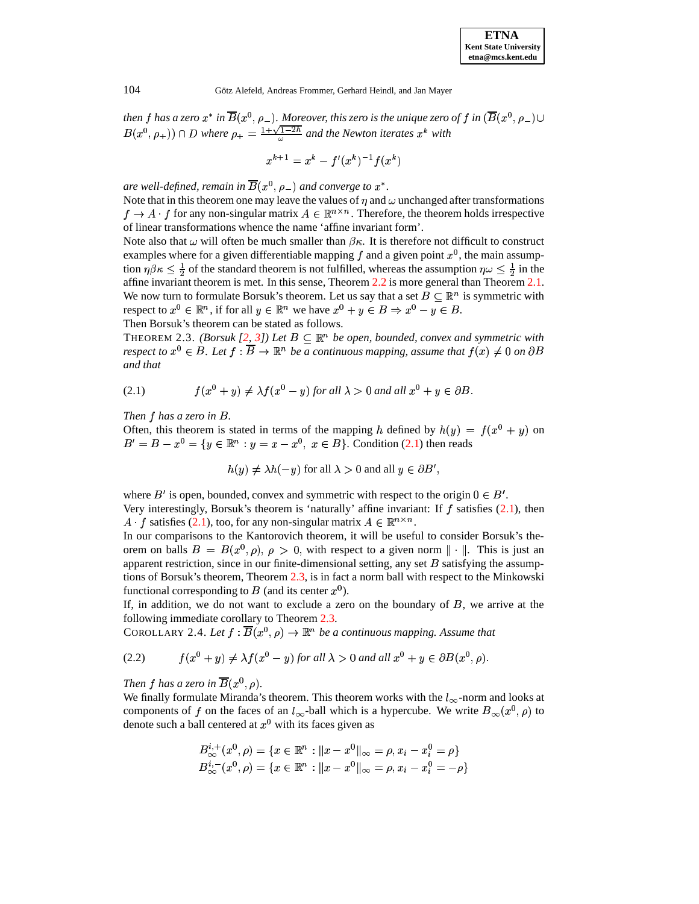| <b>ETNA</b>                  |
|------------------------------|
| <b>Kent State University</b> |
| etna@mcs.kent.edu            |

then  $f$  has a zero  $x^*$  in  $\overline{B}(x^0,\rho_-)$  . Moreover, this zero is the unique zero of  $f$  in  $(\overline{B}(x^0,\rho_-)\cup$  $B(x^0, \rho_+)$   $\cap$  *D* where  $\rho_+ = \frac{1+\sqrt{1-2h}}{\omega}$  and the Newton iterates  $x^k$  with

$$
x^{k+1} = x^k - f'(x^k)^{-1} f(x^k)
$$

are well-defined, remain in  $B(x^0, \rho_-)$  and converge to  $x^*.$ 

Note that in this theorem one may leave the values of  $\eta$  and  $\omega$  unchanged after transformations  $f \to A \cdot f$  for any non-singular matrix  $A \in \mathbb{R}^{n \times n}$ . Therefore, the theorem holds irrespective of linear transformations whence the name 'affine invariant form'.

Note also that  $\omega$  will often be much smaller than  $\beta \kappa$ . It is therefore not difficult to construct examples where for a given differentiable mapping f and a given point  $x^0$ , the main assumption  $\eta\beta\kappa \leq \frac{1}{2}$  of the standard theorem is not fulfilled, whereas the assumption  $\eta\omega \leq \frac{1}{2}$  in the affine invariant theorem is met. In this sense, Theorem [2.2](#page-1-0) is more general than Theorem [2.1.](#page-1-1) We now turn to formulate Borsuk's theorem. Let us say that a set  $B \subseteq \mathbb{R}^n$  is symmetric with respect to  $x^0 \in \mathbb{R}^n$  , if for all  $y \in \mathbb{R}^n$  we have  $x^0 + y \in B \Rightarrow x^0 - y \in B$ . Then Borsuk's theorem can be stated as follows.

<span id="page-2-1"></span><span id="page-2-0"></span>**THEOREM** 2.3. *(Borsuk [\[2,](#page-9-4) [3\]](#page-9-5)) Let*  $B \subseteq \mathbb{R}^n$  *be open, bounded, convex and symmetric with*  $r$ espect to  $x^0 \in B$ . Let  $f : \overline{B} \to \mathbb{R}^n$  be a continuous mapping, assume that  $f(x) \neq 0$  on  $\partial B$ *and that*

(2.1) 
$$
f(x^0 + y) \neq \lambda f(x^0 - y) \text{ for all } \lambda > 0 \text{ and all } x^0 + y \in \partial B.
$$

*Then has a zero in .*

Often, this theorem is stated in terms of the mapping h defined by  $h(y) = f(x^0 + y)$  on  $B' = B - x^0 = \{y \in \mathbb{R}^n : y = x - x^0, x \in B\}$ . Condition [\(2.1\)](#page-2-0) then reads

<span id="page-2-3"></span>
$$
h(y) \neq \lambda h(-y)
$$
 for all  $\lambda > 0$  and all  $y \in \partial B'$ ,

where  $B'$  is open, bounded, convex and symmetric with respect to the origin  $0 \in B'$ . Very interestingly, Borsuk's theorem is 'naturally' affine invariant: If  $f$  satisfies [\(2.1\)](#page-2-0), then  $A \cdot f$  satisfies [\(2.1\)](#page-2-0), too, for any non-singular matrix  $A \in \mathbb{R}^{n \times n}$ .

In our comparisons to the Kantorovich theorem, it will be useful to consider Borsuk's theorem on balls  $B = B(x^0, \rho), \rho > 0$ , with respect to a given norm  $\|\cdot\|$ . This is just an apparent restriction, since in our finite-dimensional setting, any set  $B$  satisfying the assump-tions of Borsuk's theorem, Theorem [2.3,](#page-2-1) is in fact a norm ball with respect to the Minkowski functional corresponding to  $B$  (and its center  $x^0$ ).

If, in addition, we do not want to exclude a zero on the boundary of  $B$ , we arrive at the following immediate corollary to Theorem [2.3.](#page-2-1)

<span id="page-2-2"></span>COROLLARY 2.4. Let  $f : B(x^0, \rho) \to \mathbb{R}^n$  be a continuous mapping. Assume that

(2.2) 
$$
f(x^0 + y) \neq \lambda f(x^0 - y) \text{ for all } \lambda > 0 \text{ and all } x^0 + y \in \partial B(x^0, \rho).
$$

Then  $f$  has a zero in  $\overline{B}(x^0,\rho)$ .

We finally formulate Miranda's theorem. This theorem works with the  $l_{\infty}$ -norm and looks at components of f on the faces of an  $l_{\infty}$ -ball which is a hypercube. We write  $B_{\infty}(x^0, \rho)$  to denote such a ball centered at  $x^0$  with its faces given as

$$
B^{i,+}_{\infty}(x^0,\rho) = \{x \in \mathbb{R}^n : \|x - x^0\|_{\infty} = \rho, x_i - x_i^0 = \rho\}
$$
  

$$
B^{i,-}_{\infty}(x^0,\rho) = \{x \in \mathbb{R}^n : \|x - x^0\|_{\infty} = \rho, x_i - x_i^0 = -\rho\}
$$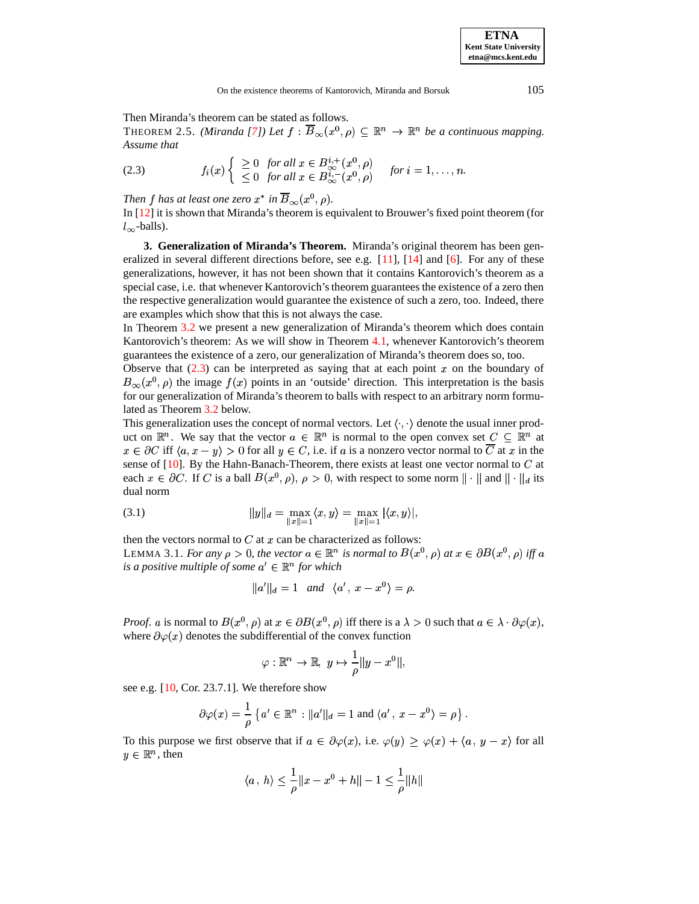Then Miranda's theorem can be stated as follows.

<span id="page-3-0"></span>THEOREM 2.5. *(Miranda [\[7\]](#page-9-6))* Let  $f : \overline{B}_{\infty}(x^0, \rho) \subseteq \mathbb{R}^n \to \mathbb{R}^n$  be a continuous mapping. *Assume that*

(2.3) 
$$
f_i(x) \begin{cases} \geq 0 & \text{for all } x \in B_{\infty}^{i,+}(x^0,\rho) \\ \leq 0 & \text{for all } x \in B_{\infty}^{i,-}(x^0,\rho) \end{cases} \text{ for } i = 1,\ldots,n.
$$

Then  $f$  has at least one zero  $x^*$  in  $B_\infty(x^0,\rho)$ .

In [\[12\]](#page-9-7) it is shown that Miranda's theorem is equivalent to Brouwer's fixed point theorem (for  $l_{\infty}$ -balls).

**3. Generalization of Miranda's Theorem.** Miranda's original theorem has been generalized in several different directions before, see e.g.  $[11]$ ,  $[14]$  and  $[6]$ . For any of these generalizations, however, it has not been shown that it contains Kantorovich's theorem as a special case, i.e. that whenever Kantorovich'stheorem guarantees the existence of a zero then the respective generalization would guarantee the existence of such a zero, too. Indeed, there are examples which show that this is not always the case.

In Theorem [3.2](#page-4-0) we present a new generalization of Miranda's theorem which does contain Kantorovich's theorem: As we will show in Theorem [4.1,](#page-5-0) whenever Kantorovich's theorem guarantees the existence of a zero, our generalization of Miranda's theorem does so, too.

Observe that  $(2.3)$  can be interpreted as saying that at each point x on the boundary of  $B_{\infty}(x^0, \rho)$  the image  $f(x)$  points in an 'outside' direction. This interpretation is the basis for our generalization of Miranda's theorem to balls with respect to an arbitrary norm formulated as Theorem [3.2](#page-4-0) below.

This generalization uses the concept of normal vectors. Let  $\langle \cdot, \cdot \rangle$  denote the usual inner product on  $\mathbb{R}^n$ . We say that the vector  $a \in \mathbb{R}^n$  is normal to the open convex set  $C \subseteq \mathbb{R}^n$  at  $x \in \partial C$  iff  $\langle a, x - y \rangle > 0$  for all  $y \in C$ , i.e. if a is a nonzero vector normal to  $\overline{C}$  at x in the sense of  $[10]$ . By the Hahn-Banach-Theorem, there exists at least one vector normal to  $C$  at each  $x \in \partial C$ . If C is a ball  $B(x^0, \rho)$ ,  $\rho > 0$ , with respect to some norm  $\|\cdot\|$  and  $\|\cdot\|_d$  its dual norm

(3.1) 
$$
||y||_d = \max_{||x||=1} \langle x, y \rangle = \max_{||x||=1} |\langle x, y \rangle|,
$$

<span id="page-3-1"></span>then the vectors normal to  $C$  at  $x$  can be characterized as follows: LEMMA 3.1. *For any*  $\rho > 0$ , the vector  $a \in \mathbb{R}^n$  is normal to  $B(x^0, \rho)$  at  $x \in \partial B(x^0, \rho)$  iff a *is a positive multiple of some*  $a' \in \mathbb{R}^n$  *for which* 

$$
||a'||_d = 1 \quad and \quad \langle a', x - x^0 \rangle = \rho.
$$

*Proof.* a is normal to  $B(x^0, \rho)$  at  $x \in \partial B(x^0, \rho)$  iff there is a  $\lambda > 0$  such that  $a \in \lambda \cdot \partial \varphi(x)$ , where  $\partial \varphi(x)$  denotes the subdifferential of the convex function

$$
\varphi:\mathbb{R}^n\to\mathbb{R},\,\,y\mapsto\frac{1}{\rho}\|y-x^0\|,
$$

see e.g. [\[10,](#page-9-11) Cor. 23.7.1]. We therefore show

$$
\partial \varphi(x) = \frac{1}{\rho} \left\{ a' \in \mathbb{R}^n : \|a'\|_d = 1 \text{ and } \langle a' \, , \, x - x^0 \rangle = \rho \right\}.
$$

To this purpose we first observe that if  $a \in \partial \varphi(x)$ , i.e.  $\varphi(y) \geq \varphi(x) + \langle a, y - x \rangle$  for all  $y \in \mathbb{R}^n$ , then

$$
\langle a \, , \, h \rangle \leq \frac{1}{\rho} \| x - x^0 + h \| - 1 \leq \frac{1}{\rho} \| h \|
$$

**ETNA Kent State University etna@mcs.kent.edu**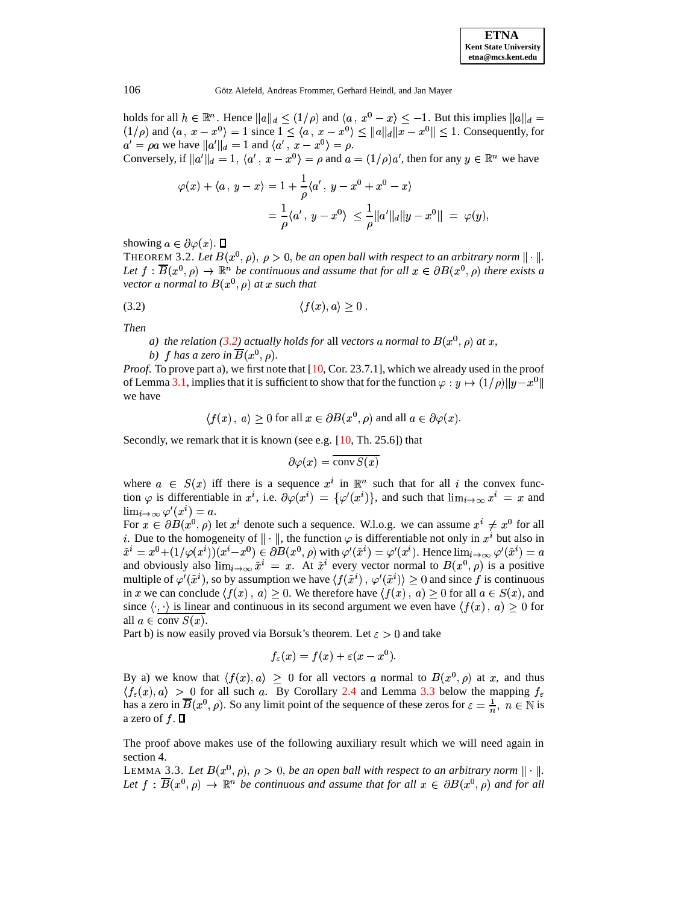holds for all  $h \in \mathbb{R}^n$ . Hence  $||a||_d \leq (1/\rho)$  and  $\langle a, x^0 - x \rangle \leq -1$ . But this implies  $||a||_d =$  $(1/\rho)$  and  $\langle a, x-x^0 \rangle = 1$  since  $1 \leq \langle a, x-x^0 \rangle \leq ||a||_d ||x-x^0|| \leq 1$ . Consequently, for  $a' = \rho a$  we have  $||a'||_d = 1$  and  $\langle a', x - x^0 \rangle = \rho$ . Conversely, if  $||a'||_d = 1$ ,  $\langle a', x - x^0 \rangle = \rho$  and  $a = (1/\rho)a'$ , then for any  $y \in \mathbb{R}^n$  we have

<span id="page-4-1"></span>
$$
\varphi(x) + \langle a, y - x \rangle = 1 + \frac{1}{\rho} \langle a', y - x^0 + x^0 - x \rangle
$$
  
=  $\frac{1}{\rho} \langle a', y - x^0 \rangle \le \frac{1}{\rho} ||a'||_d ||y - x^0|| = \varphi(y),$ 

<span id="page-4-0"></span>showing  $a \in \partial \varphi(x)$ .  $\Box$ 

THEOREM 3.2. Let  $B(x^0, \rho)$ ,  $\rho > 0$ , be an open ball with respect to an arbitrary norm  $\|\cdot\|$ . Let  $f : B(x^0, \rho) \to \mathbb{R}^n$  be continuous and assume that for all  $x \in \partial B(x^0, \rho)$  there exists a vector a normal to  $B(x^0, \rho)$  at  $x$  such that

$$
(3.2) \t\t \langle f(x), a \rangle \geq 0.
$$

*Then*

*a*) the relation [\(3.2\)](#page-4-1) actually holds for all vectors a normal to  $B(x^0, \rho)$  at x,

b)  $f$  has a zero in  $B(x^0, \rho)$ .

*Proof.* To prove part a), we first note that [\[10,](#page-9-11) Cor. 23.7.1], which we already used in the proof of Lemma [3.1,](#page-3-1) implies that it is sufficient to show that for the function  $\varphi: y \mapsto (1/\rho) \|y - x^0\|$ we have

$$
\langle f(x), a \rangle \ge 0
$$
 for all  $x \in \partial B(x^0, \rho)$  and all  $a \in \partial \varphi(x)$ .

Secondly, we remark that it is known (see e.g. [\[10,](#page-9-11) Th. 25.6]) that

$$
\partial \varphi(x) = \overline{\text{conv } S(x)}
$$

where  $a \in S(x)$  iff there is a sequence  $x^i$  in  $\mathbb{R}^n$  such that for all i the convex function  $\varphi$  is differentiable in  $x^i$ , i.e.  $\partial \varphi(x^i) = {\varphi'(x^i)}$ , and such that  $\lim_{i\to\infty} x^i = x$  and  $\lim_{i\to\infty}\varphi'(x^i)=a.$ 

For  $x \in \partial B(x^0, \rho)$  let  $x^i$  denote such a sequence. W.l.o.g. we can assume  $x^i \neq x^0$  for all i. Due to the homogeneity of  $\|\cdot\|$ , the function  $\varphi$  is differentiable not only in  $x^i$  but also in  $\tilde{x}^i = x^0 + (1/\varphi(x^i))(x^i - x^0) \in \partial B(x^0, \rho)$  with  $\varphi'(\tilde{x}^i) = \varphi'(x^i)$ . Hence  $\lim_{i \to \infty} \varphi'(\tilde{x}^i) = a$ and obviously also  $\lim_{i\to\infty} \tilde{x}^i = x$ . At  $\tilde{x}^i$  every vector normal to  $B(x^0, \rho)$  is a positive multiple of  $\varphi'(\tilde{x}^i)$ , so by assumption we have  $\langle f(\tilde{x}^i), \varphi'(\tilde{x}^i) \rangle \geq 0$  and since f is continuous in x we can conclude  $\langle f(x), a \rangle \ge 0$ . We therefore have  $\langle f(x), a \rangle \ge 0$  for all  $a \in S(x)$ , and since  $\langle \cdot, \cdot \rangle$  is linear and continuous in its second argument we even have  $\langle f(x), a \rangle \geq 0$  for all  $a \in \text{conv } S(x)$ .

Part b) is now easily proved via Borsuk's theorem. Let  $\varepsilon > 0$  and take

$$
f_{\varepsilon}(x) = f(x) + \varepsilon (x - x^0).
$$

By a) we know that  $\langle f(x), a \rangle \geq 0$  for all vectors a normal to  $B(x^0, \rho)$  at x, and thus  $\langle f_{\varepsilon}(x), a \rangle > 0$  for all such a. By Corollary [2.4](#page-2-2) and Lemma [3.3](#page-4-2) below the mapping  $f_{\varepsilon}$ has a zero in  $\overline{B}(x^0, \rho)$ . So any limit point of the sequence of these zeros for  $\varepsilon = \frac{1}{n}$ ,  $n \in \mathbb{N}$  is a zero of  $f$ .  $\Box$ 

<span id="page-4-2"></span>The proof above makes use of the following auxiliary result which we will need again in section 4.

LEMMA 3.3. Let  $B(x^0, \rho)$ ,  $\rho > 0$ , be an open ball with respect to an arbitrary norm  $\|\cdot\|$ . Let  $f : B(x^0, \rho) \to \mathbb{R}^n$  be continuous and assume that for all  $x \in \partial B(x^0, \rho)$  and for all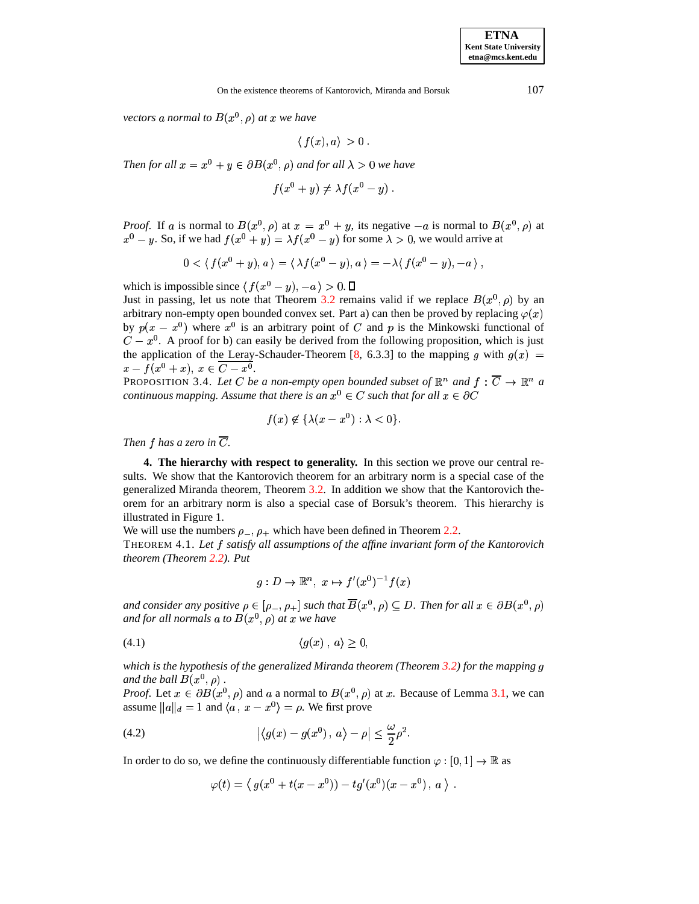vectors a normal to  $B(x^0, \rho)$  at  $x$  we have

 $\langle f(x), a \rangle > 0$ .

*Then for all*  $x = x^0 + y \in \partial B(x^0, \rho)$  and for all  $\lambda > 0$  we have

$$
f(x^0 + y) \neq \lambda f(x^0 - y) .
$$

*Proof.* If a is normal to  $B(x^0, \rho)$  at  $x = x^0 + y$ , its negative  $-a$  is normal to  $B(x^0, \rho)$  at  $x^0 - y$ . So, if we had  $f(x^0 + y) = \lambda f(x^0 - y)$  for some  $\lambda > 0$ , we would arrive at

$$
0<\langle\,f(x^0+y),a\,\rangle=\langle\,\lambda f(x^0-y),a\,\rangle=-\lambda\langle\,f(x^0-y),-a\,\rangle\;,
$$

which is impossible since  $\langle f(x^0 - y), -a \rangle > 0$ .

Just in passing, let us note that Theorem [3.2](#page-4-0) remains valid if we replace  $B(x^0, \rho)$  by an arbitrary non-empty open bounded convex set. Part a) can then be proved by replacing  $\varphi(x)$ by  $p(x - x^0)$  where  $x^0$  is an arbitrary point of C and p is the Minkowski functional of  $C - x<sup>0</sup>$ . A proof for b) can easily be derived from the following proposition, which is just the application of the Leray-Schauder-Theorem [\[8,](#page-9-1) 6.3.3] to the mapping g with  $g(x) =$  $x - f(x^0 + x), x \in C - x^0.$ .

PROPOSITION 3.4. Let C be a non-empty open bounded subset of  $\mathbb{R}^n$  and  $f: \overline{C} \to \mathbb{R}^n$  a  $\emph{continuous mapping. Assume that there is an  $x^0 \in C$  such that for all  $x \in \partial C$$ 

$$
f(x) \not\in \{\lambda(x - x^0) : \lambda < 0\}.
$$

*Then*  $f$  *has a zero in*  $\overline{C}$ *.* 

**4. The hierarchy with respect to generality.** In this section we prove our central results. We show that the Kantorovich theorem for an arbitrary norm is a special case of the generalized Miranda theorem, Theorem [3.2.](#page-4-0) In addition we show that the Kantorovich theorem for an arbitrary norm is also a special case of Borsuk's theorem. This hierarchy is illustrated in Figure 1.

We will use the numbers  $\rho_-, \rho_+$  which have been defined in Theorem [2.2.](#page-1-0)

<sup>4</sup> THEOREM 4.1. *Let satisfy all assumptions of the affine invariant form of the Kantorovich theorem (Theorem [2.2\)](#page-1-0). Put*

<span id="page-5-2"></span><span id="page-5-1"></span><span id="page-5-0"></span>
$$
g: D \to \mathbb{R}^n, \ x \mapsto f'(x^0)^{-1}f(x)
$$

and consider any positive  $\rho \in [\rho_-, \rho_+]$  such that  $B(x^0, \rho) \subseteq D$ . Then for all  $x \in \partial B(x^0, \rho)$ and for all normals  $a$  to  $B(x^0, \rho)$  at  $x$  we have

$$
(4.1) \t\t \langle g(x), a \rangle \ge 0,
$$

*which is the hypothesis of the generalized Miranda theorem (Theorem [3.2\)](#page-4-0) for the mapping* and the ball  $B(x^0, \rho)$  .

*Proof.* Let  $x \in \partial B(x^0, \rho)$  and a a normal to  $B(x^0, \rho)$  at x. Because of Lemma [3.1,](#page-3-1) we can assume  $||a||_d = 1$  and  $\langle a, x - x^0 \rangle = \rho$ . We first prove

(4.2) 
$$
\left|\left\langle g(x)-g(x^0)\,,\,a\right\rangle-\rho\right|\leq\frac{\omega}{2}\rho^2.
$$

In order to do so, we define the continuously differentiable function  $\varphi: [0,1] \to \mathbb{R}$  as

$$
\varphi(t)=\left\langle\,g(x^0+t(x-x^0))-tg'(x^0)(x-x^0)\,,\,a\,\right\rangle\;.
$$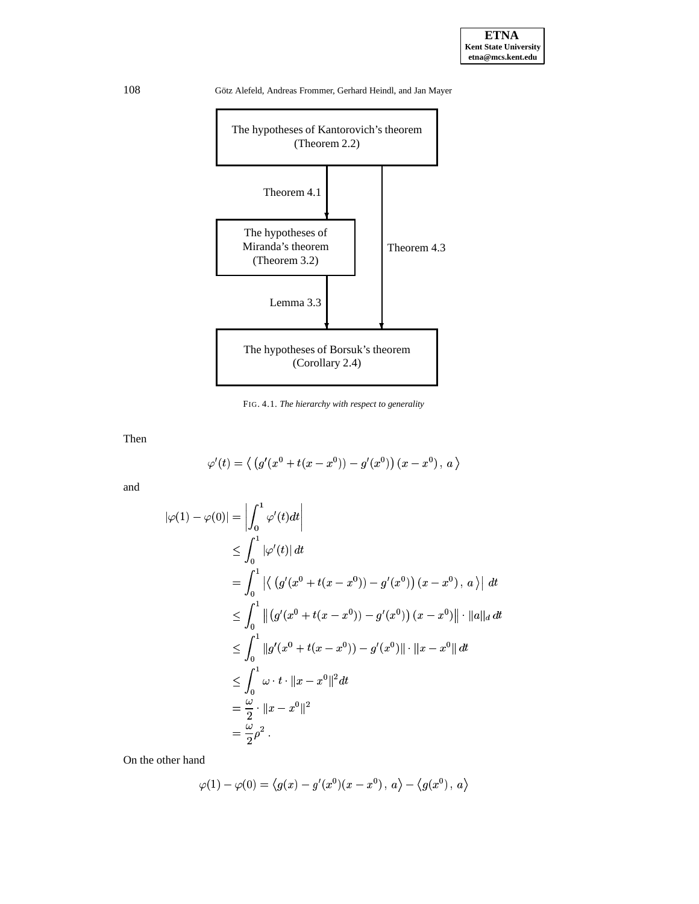

FIG. 4.1. *The hierarchy with respect to generality*

Then

$$
\varphi'(t)=\left\langle\ \left(g'(x^0+t(x-x^0))-g'(x^0)\right)(x-x^0)\,,\,a\ \right\rangle
$$

and

$$
\begin{aligned} |\varphi(1) - \varphi(0)| &= \left| \int_0^1 \varphi'(t) dt \right| \\ &\le \int_0^1 |\varphi'(t)| \, dt \\ &= \int_0^1 \left| \left\langle \left( g'(x^0 + t(x - x^0)) - g'(x^0) \right) (x - x^0) \, , \, a \right\rangle \right| \, dt \\ &\le \int_0^1 \left\| \left( g'(x^0 + t(x - x^0)) - g'(x^0) \right) (x - x^0) \right\| \cdot \left\| a \right\|_d \, dt \\ &\le \int_0^1 \left\| g'(x^0 + t(x - x^0)) - g'(x^0) \right\| \cdot \left\| x - x^0 \right\| \, dt \\ &\le \int_0^1 \omega \cdot t \cdot \left\| x - x^0 \right\|^2 dt \\ &= \frac{\omega}{2} \cdot \left\| x - x^0 \right\|^2 \\ &= \frac{\omega}{2} \rho^2 \, . \end{aligned}
$$

On the other hand

$$
\varphi(1)-\varphi(0)=\left\langle g(x)-g'(x^0)(x-x^0)\,,\,a\right\rangle-\left\langle g(x^0)\,,\,a\right\rangle
$$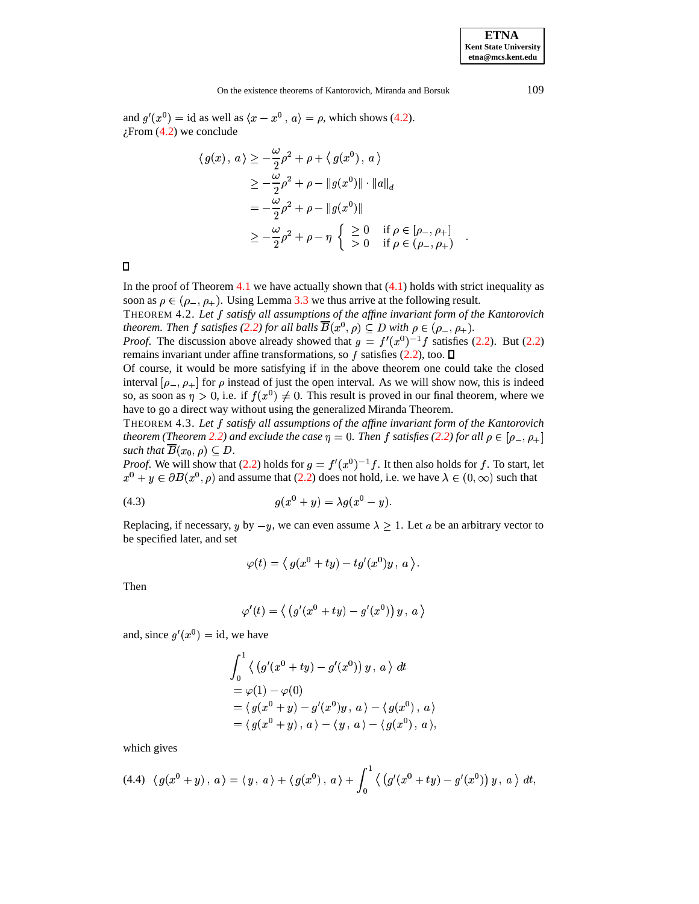<span id="page-7-0"></span>%

and  $g'(x^0) = id$  as well as  $\langle x - x^0, a \rangle = \rho$ , which shows [\(4.2\)](#page-5-1).  $i$ From  $(4.2)$  we conclude

$$
\langle g(x), a \rangle \ge -\frac{\omega}{2} \rho^2 + \rho + \langle g(x^0), a \rangle
$$
  
\n
$$
\ge -\frac{\omega}{2} \rho^2 + \rho - \|g(x^0)\| \cdot \|a\|_d
$$
  
\n
$$
= -\frac{\omega}{2} \rho^2 + \rho - \|g(x^0)\|
$$
  
\n
$$
\ge -\frac{\omega}{2} \rho^2 + \rho - \eta \begin{cases} \ge 0 & \text{if } \rho \in [\rho_-, \rho_+] \\ > 0 & \text{if } \rho \in (\rho_-, \rho_+) \end{cases} .
$$

<span id="page-7-3"></span>In the proof of Theorem [4.1](#page-5-0) we have actually shown that  $(4.1)$  holds with strict inequality as soon as  $\rho \in (\rho_-, \rho_+)$ . Using Lemma [3.3](#page-4-2) we thus arrive at the following result.

<sup>4</sup> THEOREM 4.2. *Let satisfy all assumptions of the affine invariant form of the Kantorovich theorem. Then f satisfies [\(2.2\)](#page-2-3) for all balls*  $B(x^0, \rho) \subseteq D$  with  $\rho \in (\rho_-, \rho_+).$ 

*Proof.* The discussion above already showed that  $g = f'(x^0)^{-1} f$  satisfies [\(2.2\)](#page-2-3). But (2.2) remains invariant under affine transformations, so f satisfies  $(2.2)$ , too.  $\Box$ 

Of course, it would be more satisfying if in the above theorem one could take the closed interval  $[\rho_-, \rho_+]$  for  $\rho$  instead of just the open interval. As we will show now, this is indeed so, as soon as  $\eta > 0$ , i.e. if  $f(x^0) \neq 0$ . This result is proved in our final theorem, where we have to go a direct way without using the generalized Miranda Theorem.

<span id="page-7-2"></span>THEOREM 4.3. *Let satisfy all assumptions of the affine invariant form of the Kantorovich theorem* (Theorem [2.2\)](#page-1-0) and exclude the case  $\eta = 0$ . Then f satisfies [\(2.2\)](#page-2-3) for all  $\rho \in [\rho_-, \rho_+]$ such that  $B(x_0, \rho) \subseteq D$ .

*Proof.* We will show that [\(2.2\)](#page-2-3) holds for  $g = f'(x^0)^{-1} f$ . It then also holds for f. To start, let  $x^0 + y \in \partial B(x^0, \rho)$  and assume that [\(2.2\)](#page-2-3) does not hold, i.e. we have  $\lambda \in (0, \infty)$  such that

(4.3) 
$$
g(x^0 + y) = \lambda g(x^0 - y).
$$

Replacing, if necessary, y by  $-y$ , we can even assume  $\lambda \geq 1$ . Let a be an arbitrary vector to be specified later, and set

$$
\varphi(t)=\left\langle\,g(x^0+ty)-tg'(x^0)y\,,\,a\,\right\rangle.
$$

Then

$$
\varphi'(t)=\left\langle\,\left(g'(x^0+ty)-g'(x^0)\right)y\,,\,a\,\right\rangle
$$

and, since  $g'(x^0) = id$ , we have

$$
\int_0^1 \langle (g'(x^0 + ty) - g'(x^0)) y, a \rangle dt
$$
  
=  $\varphi(1) - \varphi(0)$   
=  $\langle g(x^0 + y) - g'(x^0)y, a \rangle - \langle g(x^0), a \rangle$   
=  $\langle g(x^0 + y), a \rangle - \langle y, a \rangle - \langle g(x^0), a \rangle,$ 

<span id="page-7-1"></span>which gives

$$
(4.4) \ \ \langle g(x^{0} + y) , a \rangle = \langle y , a \rangle + \langle g(x^{0}) , a \rangle + \int_{0}^{1} \langle (g'(x^{0} + ty) - g'(x^{0})) y , a \rangle dt,
$$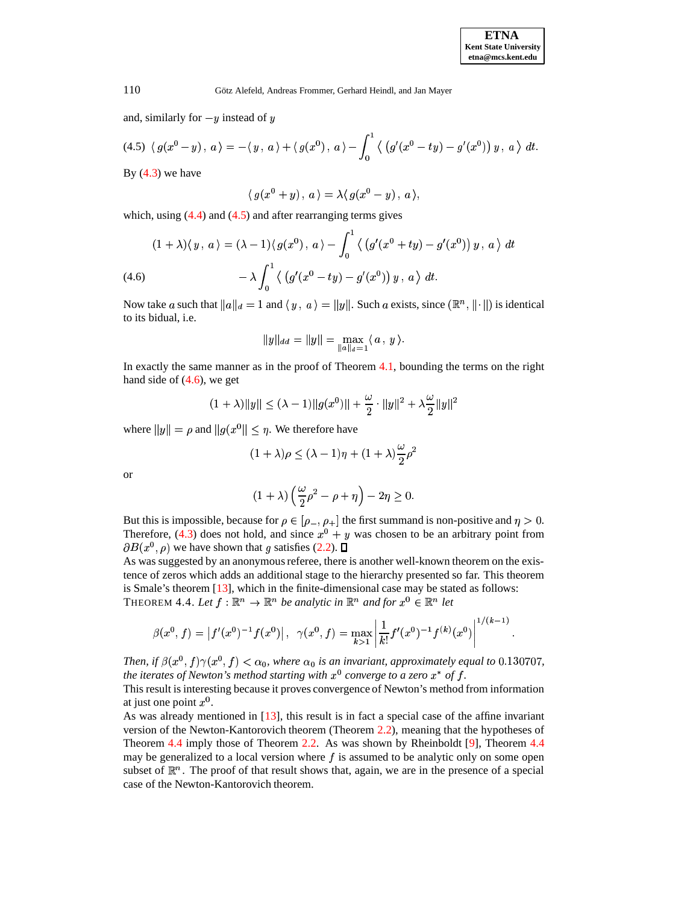and, similarly for  $-y$  instead of y

$$
(4.5)\ \ \langle\, g(x^{0} - y)\, ,\, a\, \rangle = -\langle\, y\, ,\, a\, \rangle + \langle\, g(x^{0})\, ,\, a\, \rangle - \int_{0}^{1} \langle\, \left( g'(x^{0} - ty) - g'(x^{0}) \right) y\, ,\, a\, \rangle\, \, dt.
$$

By  $(4.3)$  we have

 $\langle q(x^0 + y) \, , a \rangle = \lambda \langle q(x^0 - y) \, , a \rangle,$ 

which, using  $(4.4)$  and  $(4.5)$  and after rearranging terms gives

<span id="page-8-1"></span>
$$
(1+\lambda)\langle y, a\rangle = (\lambda - 1)\langle g(x^0), a\rangle - \int_0^1 \langle (g'(x^0 + ty) - g'(x^0)) y, a\rangle dt
$$
  

$$
- \lambda \int_0^1 \langle (g'(x^0 - ty) - g'(x^0)) y, a\rangle dt.
$$

Now take a such that  $||a||_d = 1$  and  $\langle y, a \rangle = ||y||$ . Such a exists, since  $(\mathbb{R}^n, ||\cdot||)$  is identical to its bidual, i.e.

$$
||y||_{dd} = ||y|| = \max_{||a||_d=1} \langle a, y \rangle.
$$

In exactly the same manner as in the proof of Theorem [4.1,](#page-5-0) bounding the terms on the right hand side of  $(4.6)$ , we get

$$
(1 + \lambda) \|y\| \le (\lambda - 1) \|g(x^0)\| + \frac{\omega}{2} \cdot \|y\|^2 + \lambda \frac{\omega}{2} \|y\|^2
$$

where  $||y|| = \rho$  and  $||g(x^0|| \leq \eta$ . We therefore have

$$
(1+\lambda)\rho \le (\lambda-1)\eta + (1+\lambda)\frac{\omega}{2}\rho^2
$$

or

$$
(1+\lambda)\left(\frac{\omega}{2}\rho^2-\rho+\eta\right)-2\eta\geq 0.
$$

But this is impossible, because for  $\rho \in [\rho_-, \rho_+]$  the first summand is non-positive and  $\eta > 0$ . Therefore, [\(4.3\)](#page-7-0) does not hold, and since  $x^0 + y$  was chosen to be an arbitrary point from  $\partial B(x^0, \rho)$  we have shown that g satisfies [\(2.2\)](#page-2-3).

<span id="page-8-2"></span>As was suggested by an anonymous referee, there is another well-known theorem on the existence of zeros which adds an additional stage to the hierarchy presented so far. This theorem is Smale's theorem [\[13\]](#page-9-12), which in the finite-dimensional case may be stated as follows: THEOREM 4.4. Let  $f : \mathbb{R}^n \to \mathbb{R}^n$  be analytic in  $\mathbb{R}^n$  and for  $x^0 \in \mathbb{R}^n$  let

$$
\beta(x^0, f) = \left| f'(x^0)^{-1} f(x^0) \right|, \ \ \gamma(x^0, f) = \max_{k>1} \left| \frac{1}{k!} f'(x^0)^{-1} f^{(k)}(x^0) \right|^{1/(k-1)}
$$

Then, if  $\beta(x^0, f) \gamma(x^0, f) < \alpha_0$ , where  $\alpha_0$  is an invariant, approximately equal to  $0.130707$ , *the iterates of Newton's method starting with*  $x^0$  *converge to a zero*  $x^*$  *of*  $f$ *.* 

This result is interesting because it proves convergence of Newton's method from information at just one point  $x^0$ . .

As was already mentioned in [\[13\]](#page-9-12), this result is in fact a special case of the affine invariant version of the Newton-Kantorovich theorem (Theorem [2.2\)](#page-1-0), meaning that the hypotheses of Theorem [4.4](#page-8-2) imply those of Theorem [2.2.](#page-1-0) As was shown by Rheinboldt [\[9\]](#page-9-13), Theorem [4.4](#page-8-2) may be generalized to a local version where  $f$  is assumed to be analytic only on some open subset of  $\mathbb{R}^n$ . The proof of that result shows that, again, we are in the presence of a special case of the Newton-Kantorovich theorem.

<span id="page-8-0"></span>